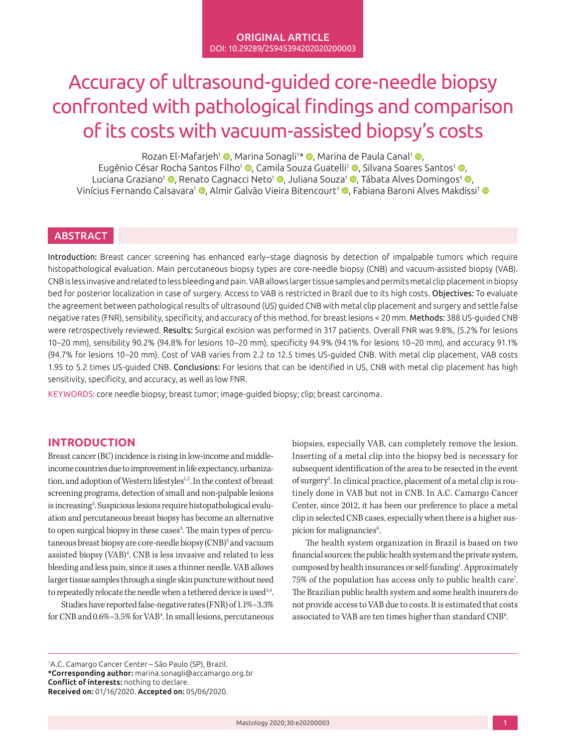# Accuracy of ultrasound-guided core-needle biopsy confronted with pathological findings and comparison of its costs with vacuum-assisted biopsy's costs

Rozan El-Mafarjeh<sup>1</sup> ©[,](http://orcid.org/0000-0003-1186-0893) Marina Sonagli1\* ©, Marina de Paula Canal<sup>1</sup> ©, Eugênio César Rocha Santos Filho<sup>1</sup> ([,](http://orcid.org/0000-0003-1939-6060) Camila Souza Guatelli<sup>1</sup> (, Silvana Soares Santos<sup>1</sup> (, Luciana Graziano<sup>1</sup> **©**[,](http://orcid.org/0000-0002-6910-5981) Renato Cagnacci Neto<sup>1</sup> ©, Juliana Souza<sup>1</sup> ©, Tábata Alves Domingos<sup>1</sup> ©, Vinícius Fernando Calsavara<sup>1</sup> [,](http://orcid.org/0000-0003-0192-9885) Almir Galvão Vieira Bitencourt<sup>1</sup> , Fabiana Baroni Alves Makdissi<sup>1</sup> e

## **ABSTRACT**

Introduction: Breast cancer screening has enhanced early–stage diagnosis by detection of impalpable tumors which require histopathological evaluation. Main percutaneous biopsy types are core-needle biopsy (CNB) and vacuum-assisted biopsy (VAB). CNB is less invasive and related to less bleeding and pain. VAB allows larger tissue samples and permits metal clip placement in biopsy bed for posterior localization in case of surgery. Access to VAB is restricted in Brazil due to its high costs. Objectives: To evaluate the agreement between pathological results of ultrasound (US) guided CNB with metal clip placement and surgery and settle false negative rates (FNR), sensibility, specificity, and accuracy of this method, for breast lesions < 20 mm. Methods: 388 US-guided CNB were retrospectively reviewed. Results: Surgical excision was performed in 317 patients. Overall FNR was 9.8%, (5.2% for lesions 10–20 mm), sensibility 90.2% (94.8% for lesions 10–20 mm), specificity 94.9% (94.1% for lesions 10–20 mm), and accuracy 91.1% (94.7% for lesions 10–20 mm). Cost of VAB varies from 2.2 to 12.5 times US-guided CNB. With metal clip placement, VAB costs 1.95 to 5.2 times US-guided CNB. Conclusions: For lesions that can be identified in US, CNB with metal clip placement has high sensitivity, specificity, and accuracy, as well as low FNR.

KEYWORDS: core needle biopsy; breast tumor; image-guided biopsy; clip; breast carcinoma.

## **INTRODUCTION**

Breast cancer (BC) incidence is rising in low-income and middleincome countries due to improvement in life expectancy, urbanization, and adoption of Western lifestyles<sup>1,2</sup>. In the context of breast screening programs, detection of small and non-palpable lesions is increasing<sup>3</sup>. Suspicious lesions require histopathological evaluation and percutaneous breast biopsy has become an alternative to open surgical biopsy in these cases<sup>3</sup>. The main types of percutaneous breast biopsy are core-needle biopsy (CNB)<sup>3</sup> and vacuum assisted biopsy (VAB)4 . CNB is less invasive and related to less bleeding and less pain, since it uses a thinner needle. VAB allows larger tissue samples through a single skin puncture without need to repeatedly relocate the needle when a tethered device is used<sup>3,4</sup>.

Studies have reported false-negative rates (FNR) of 1.1%–3.3% for CNB and 0.6%–3.5% for VAB4 . In small lesions, percutaneous biopsies, especially VAB, can completely remove the lesion. Inserting of a metal clip into the biopsy bed is necessary for subsequent identification of the area to be resected in the event of surgery<sup>5</sup>. In clinical practice, placement of a metal clip is routinely done in VAB but not in CNB. In A.C. Camargo Cancer Center, since 2012, it has been our preference to place a metal clip in selected CNB cases, especially when there is a higher suspicion for malignancies<sup>6</sup>. .

The health system organization in Brazil is based on two financial sources: the public health system and the private system, composed by health insurances or self-funding<sup>1</sup>. Approximately 75% of the population has access only to public health care7 . The Brazilian public health system and some health insurers do not provide access to VAB due to costs. It is estimated that costs associated to VAB are ten times higher than standard CNB<sup>8</sup>. .

1 A.C. Camargo Cancer Center – São Paulo (SP), Brazil. \*Corresponding author: [marina.sonagli@accamargo.org.br](mailto:marina.sonagli@accamargo.org.br) Conflict of interests: nothing to declare. Received on: 01/16/2020. Accepted on: 05/06/2020.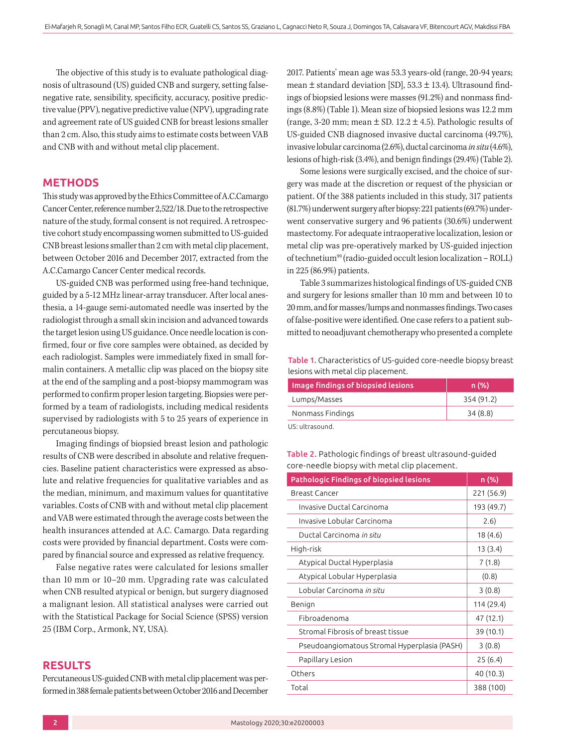The objective of this study is to evaluate pathological diagnosis of ultrasound (US) guided CNB and surgery, setting falsenegative rate, sensibility, specificity, accuracy, positive predictive value (PPV), negative predictive value (NPV), upgrading rate and agreement rate of US guided CNB for breast lesions smaller than 2 cm. Also, this study aims to estimate costs between VAB and CNB with and without metal clip placement.

## **METHODS**

This study was approved by the Ethics Committee of A.C.Camargo Cancer Center, reference number 2,522/18. Due to the retrospective nature of the study, formal consent is not required. A retrospective cohort study encompassing women submitted to US-guided CNB breast lesions smaller than 2 cm with metal clip placement, between October 2016 and December 2017, extracted from the A.C.Camargo Cancer Center medical records.

US-guided CNB was performed using free-hand technique, guided by a 5-12 MHz linear-array transducer. After local anesthesia, a 14-gauge semi-automated needle was inserted by the radiologist through a small skin incision and advanced towards the target lesion using US guidance. Once needle location is confirmed, four or five core samples were obtained, as decided by each radiologist. Samples were immediately fixed in small formalin containers. A metallic clip was placed on the biopsy site at the end of the sampling and a post-biopsy mammogram was performed to confirm proper lesion targeting. Biopsies were performed by a team of radiologists, including medical residents supervised by radiologists with 5 to 25 years of experience in percutaneous biopsy.

Imaging findings of biopsied breast lesion and pathologic results of CNB were described in absolute and relative frequencies. Baseline patient characteristics were expressed as absolute and relative frequencies for qualitative variables and as the median, minimum, and maximum values for quantitative variables. Costs of CNB with and without metal clip placement and VAB were estimated through the average costs between the health insurances attended at A.C. Camargo. Data regarding costs were provided by financial department. Costs were compared by financial source and expressed as relative frequency.

False negative rates were calculated for lesions smaller than 10 mm or 10–20 mm. Upgrading rate was calculated when CNB resulted atypical or benign, but surgery diagnosed a malignant lesion. All statistical analyses were carried out with the Statistical Package for Social Science (SPSS) version 25 (IBM Corp., Armonk, NY, USA).

## **RESULTS**

Percutaneous US-guided CNB with metal clip placement was performed in 388 female patients between October 2016 and December 2017. Patients' mean age was 53.3 years-old (range, 20-94 years; mean ± standard deviation [SD], 53.3 ± 13.4). Ultrasound findings of biopsied lesions were masses (91.2%) and nonmass findings (8.8%) (Table 1). Mean size of biopsied lesions was 12.2 mm (range, 3-20 mm; mean  $\pm$  SD. 12.2  $\pm$  4.5). Pathologic results of US-guided CNB diagnosed invasive ductal carcinoma (49.7%), invasive lobular carcinoma (2.6%), ductal carcinoma *in situ* (4.6%), lesions of high-risk (3.4%), and benign findings (29.4%) (Table 2).

Some lesions were surgically excised, and the choice of surgery was made at the discretion or request of the physician or patient. Of the 388 patients included in this study, 317 patients (81.7%) underwent surgery after biopsy: 221 patients (69.7%) underwent conservative surgery and 96 patients (30.6%) underwent mastectomy. For adequate intraoperative localization, lesion or metal clip was pre-operatively marked by US-guided injection of technetium99 (radio-guided occult lesion localization – ROLL) in 225 (86.9%) patients.

Table 3 summarizes histological findings of US-guided CNB and surgery for lesions smaller than 10 mm and between 10 to 20 mm, and for masses/lumps and nonmasses findings. Two cases of false-positive were identified. One case refers to a patient submitted to neoadjuvant chemotherapy who presented a complete

Table 1. Characteristics of US-guided core-needle biopsy breast lesions with metal clip placement.

| Image findings of biopsied lesions | n(%)       |
|------------------------------------|------------|
| Lumps/Masses                       | 354 (91.2) |
| Nonmass Findings                   | 34(8.8)    |
| US: ultrasound.                    |            |

Table 2. Pathologic findings of breast ultrasound-guided core-needle biopsy with metal clip placement.

| <b>Pathologic Findings of biopsied lesions</b> | n (% <u>)</u> |
|------------------------------------------------|---------------|
| Breast Cancer                                  | 221 (56.9)    |
| Invasive Ductal Carcinoma                      | 193 (49.7)    |
| Invasive Lobular Carcinoma                     | 2.6)          |
| Ductal Carcinoma <i>in situ</i>                | 18 (4.6)      |
| High-risk                                      | 13 (3.4)      |
| Atypical Ductal Hyperplasia                    | 7(1.8)        |
| Atypical Lobular Hyperplasia                   | (0.8)         |
| Lobular Carcinoma <i>in situ</i>               | 3(0.8)        |
| Benign                                         | 114 (29.4)    |
| Fibroadenoma                                   | 47 (12.1)     |
| Stromal Fibrosis of breast tissue              | 39(10.1)      |
| Pseudoangiomatous Stromal Hyperplasia (PASH)   | 3(0.8)        |
| Papillary Lesion                               | 25(6.4)       |
| Others                                         | 40 (10.3)     |
| Total                                          | 388 (100)     |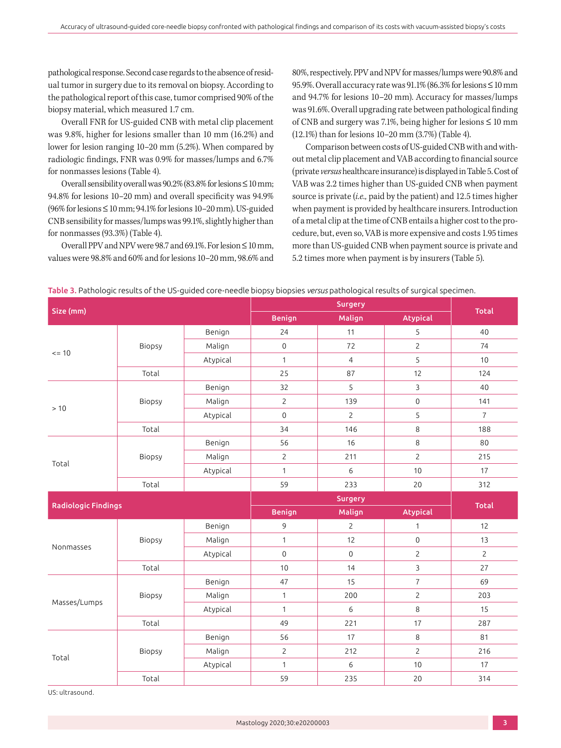pathological response. Second case regards to the absence of residual tumor in surgery due to its removal on biopsy. According to the pathological report of this case, tumor comprised 90% of the biopsy material, which measured 1.7 cm.

Overall FNR for US-guided CNB with metal clip placement was 9.8%, higher for lesions smaller than 10 mm (16.2%) and lower for lesion ranging 10–20 mm (5.2%). When compared by radiologic findings, FNR was 0.9% for masses/lumps and 6.7% for nonmasses lesions (Table 4).

Overall sensibility overall was  $90.2\%$  (83.8% for lesions  $\leq 10$  mm; 94.8% for lesions 10–20 mm) and overall specificity was 94.9%  $(96\%$  for lesions  $\leq 10$  mm; 94.1% for lesions 10–20 mm). US-guided CNB sensibility for masses/lumps was 99.1%, slightly higher than for nonmasses (93.3%) (Table 4).

Overall PPV and NPV were 98.7 and 69.1%. For lesion ≤ 10 mm, values were 98.8% and 60% and for lesions 10–20 mm, 98.6% and 80%, respectively. PPV and NPV for masses/lumps were 90.8% and 95.9%. Overall accuracy rate was 91.1% (86.3% for lesions ≤ 10 mm and 94.7% for lesions 10–20 mm). Accuracy for masses/lumps was 91.6%. Overall upgrading rate between pathological finding of CNB and surgery was 7.1%, being higher for lesions  $\leq 10$  mm (12.1%) than for lesions 10–20 mm (3.7%) (Table 4).

Comparison between costs of US-guided CNB with and without metal clip placement and VAB according to financial source (private *versus* healthcare insurance) is displayed in Table 5. Cost of VAB was 2.2 times higher than US-guided CNB when payment source is private (*i.e.,* paid by the patient) and 12.5 times higher when payment is provided by healthcare insurers. Introduction of a metal clip at the time of CNB entails a higher cost to the procedure, but, even so, VAB is more expensive and costs 1.95 times more than US-guided CNB when payment source is private and 5.2 times more when payment is by insurers (Table 5).

| Size (mm)                  |        |          | <b>Benign</b>       | Malign              | <b>Atypical</b>     | <b>Total</b>   |
|----------------------------|--------|----------|---------------------|---------------------|---------------------|----------------|
| $= 10$                     |        | Benign   | 24                  | 11                  | 5                   | 40             |
|                            | Biopsy | Malign   | $\mathbf 0$         | 72                  | $\overline{2}$      | 74             |
|                            |        | Atypical | $\mathbf{1}$        | $\overline{4}$      | 5                   | 10             |
|                            | Total  |          | 25                  | 87                  | 12                  | 124            |
|                            |        | Benign   | 32                  | 5                   | 3                   | 40             |
| >10<br>Total               | Biopsy | Malign   | $\overline{2}$      | 139                 | $\mathsf{O}\xspace$ | 141            |
|                            |        | Atypical | $\overline{0}$      | $\overline{2}$      | 5                   | $\overline{7}$ |
|                            | Total  |          | 34                  | 146                 | 8                   | 188            |
|                            | Biopsy | Benign   | 56                  | 16                  | 8                   | 80             |
|                            |        | Malign   | $\overline{c}$      | 211                 | $\overline{c}$      | 215            |
|                            |        | Atypical | $\mathbf{1}$        | 6                   | 10                  | 17             |
|                            | Total  |          | 59                  | 233                 | 20                  | 312            |
|                            |        |          |                     |                     |                     |                |
| <b>Radiologic Findings</b> |        |          | <b>Benign</b>       | Malign              | <b>Atypical</b>     | Total          |
|                            | Biopsy | Benign   | 9                   | $\mathbf{2}$        | $\mathbf{1}$        | 12             |
|                            |        | Malign   | $\mathbf{1}$        | 12                  | $\mathbf 0$         | 13             |
| Nonmasses                  |        | Atypical | $\mathsf{O}\xspace$ | $\mathsf{O}\xspace$ | $\overline{2}$      | $\overline{2}$ |
|                            | Total  |          | 10                  | 14                  | $\overline{3}$      | 27             |
| Masses/Lumps               |        | Benign   | 47                  | 15                  | $\overline{7}$      | 69             |
|                            |        |          |                     |                     |                     |                |
|                            | Biopsy | Malign   | $\mathbf{1}$        | 200                 | $\overline{c}$      | 203            |
|                            |        | Atypical | $\mathbf{1}$        | 6                   | 8                   | 15             |
|                            | Total  |          | 49                  | 221                 | 17                  | 287            |
|                            |        | Benign   | 56                  | 17                  | 8                   | 81             |
|                            | Biopsy | Malign   | $\overline{2}$      | 212                 | $\overline{2}$      | 216            |
| Total                      |        | Atypical | $\mathbf{1}$        | 6                   | 10                  | 17             |

#### Table 3. Pathologic results of the US-guided core-needle biopsy biopsies *versus* pathological results of surgical specimen.

US: ultrasound.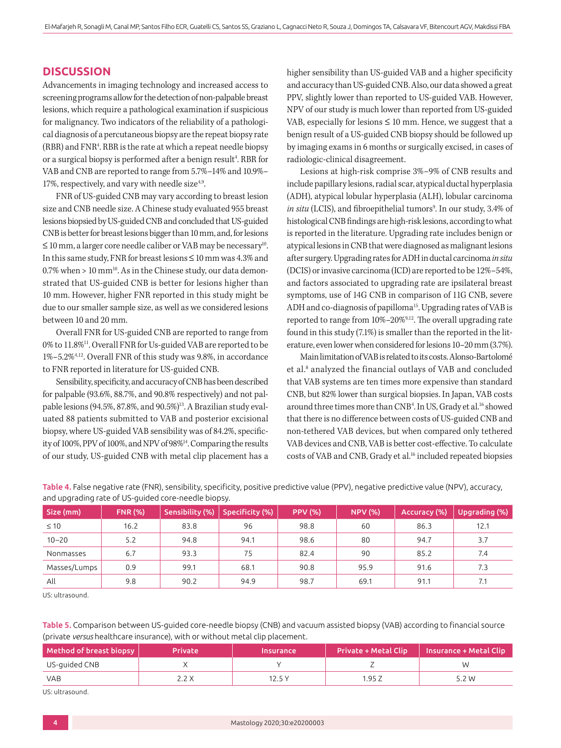## **DISCUSSION**

Advancements in imaging technology and increased access to screening programs allow for the detection of non-palpable breast lesions, which require a pathological examination if suspicious for malignancy. Two indicators of the reliability of a pathological diagnosis of a percutaneous biopsy are the repeat biopsy rate (RBR) and FNR4 . RBR is the rate at which a repeat needle biopsy or a surgical biopsy is performed after a benign result<sup>4</sup>. RBR for VAB and CNB are reported to range from 5.7%–14% and 10.9%– 17%, respectively, and vary with needle size $4.9$ .

FNR of US-guided CNB may vary according to breast lesion size and CNB needle size. A Chinese study evaluated 955 breast lesions biopsied by US-guided CNB and concluded that US-guided CNB is better for breast lesions bigger than 10 mm, and, for lesions  $\leq 10$  mm, a larger core needle caliber or VAB may be necessary<sup>10</sup>. In this same study, FNR for breast lesions ≤ 10 mm was 4.3% and  $0.7\%$  when > 10 mm<sup>10</sup>. As in the Chinese study, our data demonstrated that US-guided CNB is better for lesions higher than 10 mm. However, higher FNR reported in this study might be due to our smaller sample size, as well as we considered lesions between 10 and 20 mm.

Overall FNR for US-guided CNB are reported to range from 0% to 11.8%11. Overall FNR for Us-guided VAB are reported to be 1%–5.2%4,12. Overall FNR of this study was 9.8%, in accordance to FNR reported in literature for US-guided CNB.

Sensibility, specificity, and accuracy of CNB has been described for palpable (93.6%, 88.7%, and 90.8% respectively) and not palpable lesions (94.5%, 87.8%, and 90.5%)<sup>13</sup>. A Brazilian study evaluated 88 patients submitted to VAB and posterior excisional biopsy, where US-guided VAB sensibility was of 84.2%, specificity of 100%, PPV of 100%, and NPV of 98%14. Comparing the results of our study, US-guided CNB with metal clip placement has a higher sensibility than US-guided VAB and a higher specificity and accuracy than US-guided CNB. Also, our data showed a great PPV, slightly lower than reported to US-guided VAB. However, NPV of our study is much lower than reported from US-guided VAB, especially for lesions  $\leq 10$  mm. Hence, we suggest that a benign result of a US-guided CNB biopsy should be followed up by imaging exams in 6 months or surgically excised, in cases of radiologic-clinical disagreement.

Lesions at high-risk comprise 3%–9% of CNB results and include papillary lesions, radial scar, atypical ductal hyperplasia (ADH), atypical lobular hyperplasia (ALH), lobular carcinoma *in situ* (LCIS), and fibroepithelial tumors<sup>9</sup>. In our study, 3.4% of histological CNB findings are high-risk lesions, according to what is reported in the literature. Upgrading rate includes benign or atypical lesions in CNB that were diagnosed as malignant lesions after surgery. Upgrading rates for ADH in ductal carcinoma *in situ* (DCIS) or invasive carcinoma (ICD) are reported to be 12%–54%, and factors associated to upgrading rate are ipsilateral breast symptoms, use of 14G CNB in comparison of 11G CNB, severe ADH and co-diagnosis of papilloma<sup>15</sup>. Upgrading rates of VAB is reported to range from 10%–20%9,12. The overall upgrading rate found in this study (7.1%) is smaller than the reported in the literature, even lower when considered for lesions 10–20 mm (3.7%).

Main limitation of VAB is related to its costs. Alonso-Bartolomé et al.<sup>8</sup> analyzed the financial outlays of VAB and concluded that VAB systems are ten times more expensive than standard CNB, but 82% lower than surgical biopsies. In Japan, VAB costs around three times more than CNB<sup>4</sup>. In US, Grady et al.<sup>16</sup> showed that there is no difference between costs of US-guided CNB and non-tethered VAB devices, but when compared only tethered VAB devices and CNB, VAB is better cost-effective. To calculate costs of VAB and CNB, Grady et al.<sup>16</sup> included repeated biopsies

| Size (mm)    | <b>FNR (%)</b> | Sensibility (%) | Specificity (%) | <b>PPV (%)</b> | <b>NPV (%)</b> | Accuracy (%) | Upgrading (%) |
|--------------|----------------|-----------------|-----------------|----------------|----------------|--------------|---------------|
| $\leq 10$    | 16.2           | 83.8            | 96              | 98.8           | 60             | 86.3         | 12.1          |
| $10 - 20$    | 5.2            | 94.8            | 94.1            | 98.6           | 80             | 94.7         | 3.7           |
| Nonmasses    | 6.7            | 93.3            | 75              | 82.4           | 90             | 85.2         | 7.4           |
| Masses/Lumps | 0.9            | 99.1            | 68.1            | 90.8           | 95.9           | 91.6         | 7.3           |
| All          | 9.8            | 90.2            | 94.9            | 98.7           | 69.1           | 91.1         | 7.1           |

Table 4. False negative rate (FNR), sensibility, specificity, positive predictive value (PPV), negative predictive value (NPV), accuracy, and upgrading rate of US-guided core-needle biopsy.

US: ultrasound.

Table 5. Comparison between US-guided core-needle biopsy (CNB) and vacuum assisted biopsy (VAB) according to financial source (private *versus* healthcare insurance), with or without metal clip placement.

| Method of breast biopsy | <b>Private</b> | <b>Insurance</b> | Private + Metal Clip ' | Insurance + Metal Clip |
|-------------------------|----------------|------------------|------------------------|------------------------|
| US-guided CNB           |                |                  |                        | M                      |
| <b>VAB</b>              |                | 12.5 Y           | .95 Z                  | 5.2 W                  |

US: ultrasound.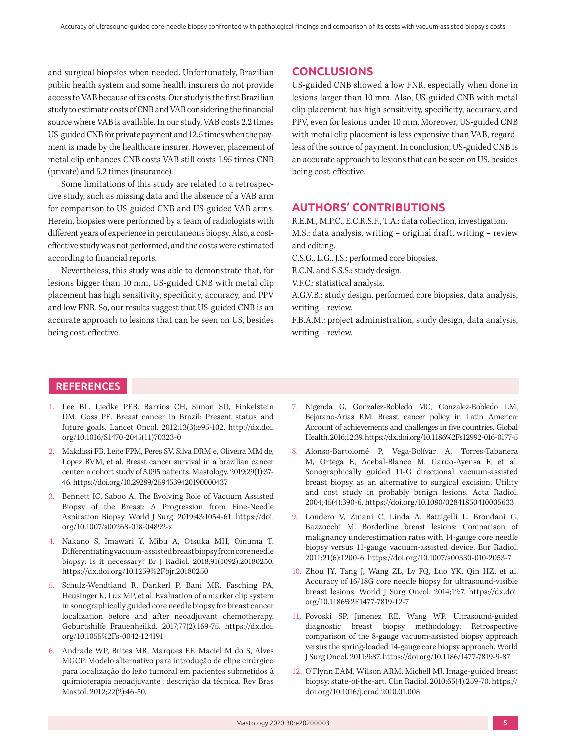and surgical biopsies when needed. Unfortunately, Brazilian public health system and some health insurers do not provide access to VAB because of its costs. Our study is the first Brazilian study to estimate costs of CNB and VAB considering the financial source where VAB is available. In our study, VAB costs 2.2 times US-guided CNB for private payment and 12.5 times when the payment is made by the healthcare insurer. However, placement of metal clip enhances CNB costs VAB still costs 1.95 times CNB (private) and 5.2 times (insurance).

Some limitations of this study are related to a retrospective study, such as missing data and the absence of a VAB arm for comparison to US-guided CNB and US-guided VAB arms. Herein, biopsies were performed by a team of radiologists with different years of experience in percutaneous biopsy. Also, a costeffective study was not performed, and the costs were estimated according to financial reports.

Nevertheless, this study was able to demonstrate that, for lesions bigger than 10 mm, US-guided CNB with metal clip placement has high sensitivity, specificity, accuracy, and PPV and low FNR. So, our results suggest that US-guided CNB is an accurate approach to lesions that can be seen on US, besides being cost-effective.

## **CONCLUSIONS**

US-guided CNB showed a low FNR, especially when done in lesions larger than 10 mm. Also, US-guided CNB with metal clip placement has high sensitivity, specificity, accuracy, and PPV, even for lesions under 10 mm. Moreover, US-guided CNB with metal clip placement is less expensive than VAB, regardless of the source of payment. In conclusion, US-guided CNB is an accurate approach to lesions that can be seen on US, besides being cost-effective.

# **AUTHORS' CONTRIBUTIONS**

R.E.M., M.P.C., E.C.R.S.F., T.A.: data collection, investigation. M.S.: data analysis, writing – original draft, writing – review and editing.

C.S.G., L.G., J.S.: performed core biopsies.

R.C.N. and S.S.S.: study design.

V.F.C.: statistical analysis.

A.G.V.B.: study design, performed core biopsies, data analysis, writing – review.

F.B.A.M.: project administration, study design, data analysis, writing – review.

## **REFERENCES**

- 1. Lee BL, Liedke PER, Barrios CH, Simon SD, Finkelstein DM, Goss PE. Breast cancer in Brazil: Present status and future goals. Lancet Oncol. 2012;13(3):e95-102. [http://dx.doi.](http://dx.doi.org/10.1016/S1470-2045(11)70323-0) [org/10.1016/S1470-2045\(11\)70323-0](http://dx.doi.org/10.1016/S1470-2045(11)70323-0)
- 2. Makdissi FB, Leite FPM, Peres SV, Silva DRM e, Oliveira MM de, Lopez RVM, et al. Breast cancer survival in a brazilian cancer center: a cohort study of 5,095 patients. Mastology. 2019;29(1):37- 46. <https://doi.org/10.29289/2594539420190000437>
- 3. Bennett IC, Saboo A. The Evolving Role of Vacuum Assisted Biopsy of the Breast: A Progression from Fine-Needle Aspiration Biopsy. World J Surg. 2019;43:1054-61. [https://doi.](https://doi.org/10.1007/s00268-018-04892-x) [org/10.1007/s00268-018-04892-x](https://doi.org/10.1007/s00268-018-04892-x)
- 4. Nakano S, Imawari Y, Mibu A, Otsuka MH, Oinuma T. Differentiating vacuum-assisted breast biopsy from core needle biopsy: Is it necessary? Br J Radiol. 2018;91(1092):20180250. <https://dx.doi.org/10.1259%2Fbjr.20180250>
- 5. Schulz-Wendtland R, Dankerl P, Bani MR, Fasching PA, Heusinger K, Lux MP, et al. Evaluation of a marker clip system in sonographically guided core needle biopsy for breast cancer localization before and after neoadjuvant chemotherapy. Geburtshilfe Frauenheilkd. 2017;77(2):169-75. [https://dx.doi.](https://dx.doi.org/10.1055%2Fs-0042-124191) [org/10.1055%2Fs-0042-124191](https://dx.doi.org/10.1055%2Fs-0042-124191)
- 6. Andrade WP, Brites MR, Marques EF, Maciel M do S, Alves MGCP. Modelo alternativo para introdução de clipe cirúrgico para localização do leito tumoral em pacientes submetidos à quimioterapia neoadjuvante : descrição da técnica. Rev Bras Mastol. 2012;22(2):46-50.
- 7. Nigenda G, Gonzalez-Robledo MC, Gonzalez-Robledo LM, Bejarano-Arias RM. Breast cancer policy in Latin America: Account of achievements and challenges in five countries. Global Health. 2016;12:39.<https://dx.doi.org/10.1186%2Fs12992-016-0177-5>
- 8. Alonso-Bartolomé P, Vega-Bolívar A, Torres-Tabanera M, Ortega E, Acebal-Blanco M, Garuo-Ayensa F, et al. Sonographically guided 11-G directional vacuum-assisted breast biopsy as an alternative to surgical excision: Utility and cost study in probably benign lesions. Acta Radiol. 2004;45(4):390-6. <https://doi.org/10.1080/02841850410005633>
- 9. Londero V, Zuiani C, Linda A, Battigelli L, Brondani G, Bazzocchi M. Borderline breast lesions: Comparison of malignancy underestimation rates with 14-gauge core needle biopsy versus 11-gauge vacuum-assisted device. Eur Radiol. 2011;21(6):1200-6.<https://doi.org/10.1007/s00330-010-2053-7>
- 10. Zhou JY, Tang J, Wang ZL, Lv FQ, Luo YK, Qin HZ, et al. Accuracy of 16/18G core needle biopsy for ultrasound-visible breast lesions. World J Surg Oncol. 2014;12:7. [https://dx.doi.](https://dx.doi.org/10.1186%2F1477-7819-12-7) [org/10.1186%2F1477-7819-12-7](https://dx.doi.org/10.1186%2F1477-7819-12-7)
- 11. Povoski SP, Jimenez RE, Wang WP. Ultrasound-guided diagnostic breast biopsy methodology: Retrospective comparison of the 8-gauge vacuum-assisted biopsy approach versus the spring-loaded 14-gauge core biopsy approach. World J Surg Oncol. 2011;9:87.<https://doi.org/10.1186/1477-7819-9-87>
- 12. O'Flynn EAM, Wilson ARM, Michell MJ. Image-guided breast biopsy: state-of-the-art. Clin Radiol. 2010;65(4):259-70. [https://](https://doi.org/10.1016/j.crad.2010.01.008) [doi.org/10.1016/j.crad.2010.01.008](https://doi.org/10.1016/j.crad.2010.01.008)